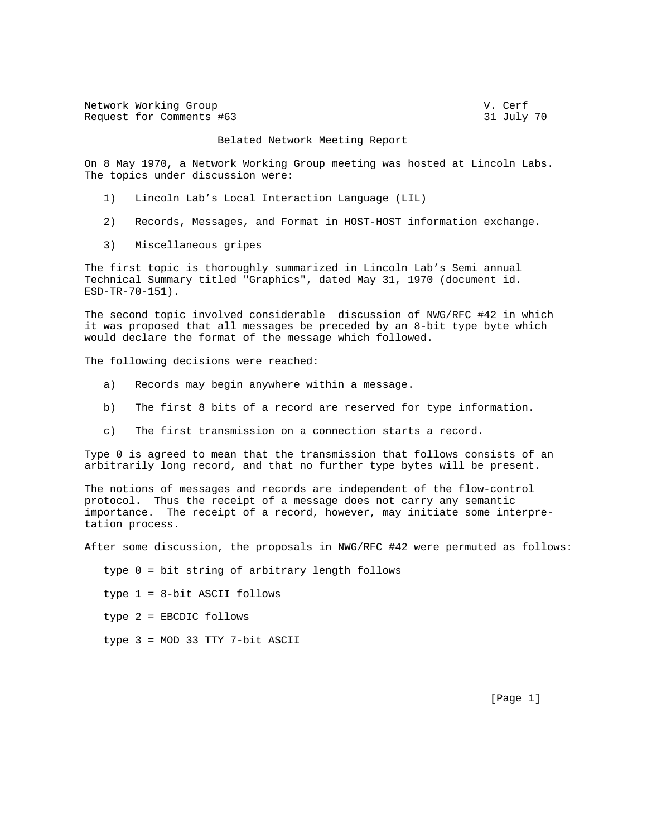| Network Working Group    | V. Cerf    |
|--------------------------|------------|
| Request for Comments #63 | 31 July 70 |

## Belated Network Meeting Report

On 8 May 1970, a Network Working Group meeting was hosted at Lincoln Labs. The topics under discussion were:

- 1) Lincoln Lab's Local Interaction Language (LIL)
- 2) Records, Messages, and Format in HOST-HOST information exchange.
- 3) Miscellaneous gripes

The first topic is thoroughly summarized in Lincoln Lab's Semi annual Technical Summary titled "Graphics", dated May 31, 1970 (document id. ESD-TR-70-151).

The second topic involved considerable discussion of NWG/RFC #42 in which it was proposed that all messages be preceded by an 8-bit type byte which would declare the format of the message which followed.

The following decisions were reached:

- a) Records may begin anywhere within a message.
- b) The first 8 bits of a record are reserved for type information.
- c) The first transmission on a connection starts a record.

Type 0 is agreed to mean that the transmission that follows consists of an arbitrarily long record, and that no further type bytes will be present.

The notions of messages and records are independent of the flow-control protocol. Thus the receipt of a message does not carry any semantic importance. The receipt of a record, however, may initiate some interpretation process.

After some discussion, the proposals in NWG/RFC #42 were permuted as follows:

type 0 = bit string of arbitrary length follows

type 1 = 8-bit ASCII follows

type 2 = EBCDIC follows

type 3 = MOD 33 TTY 7-bit ASCII

[Page 1]